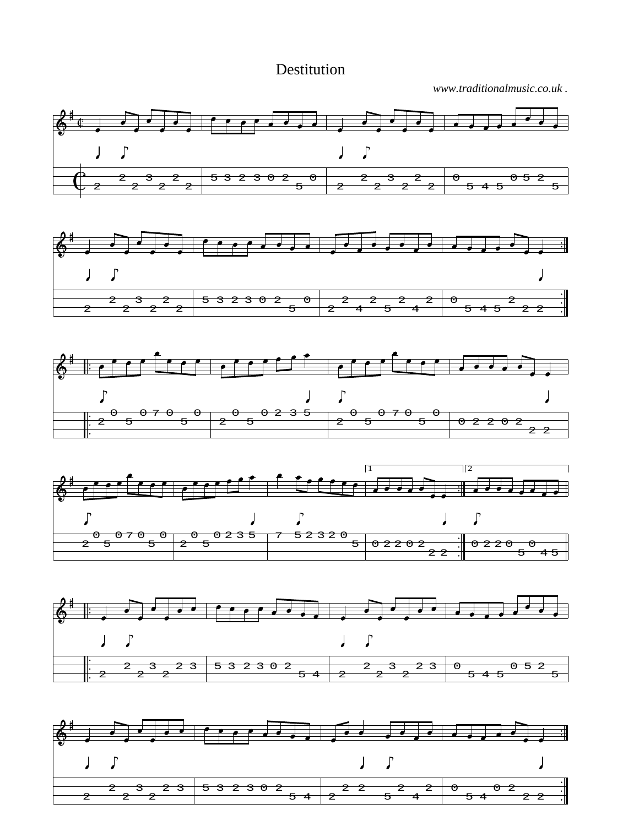Destitution

*www.traditionalmusic.co.uk .*



 $\overline{4}$ 

2 2

 $\overline{z}$